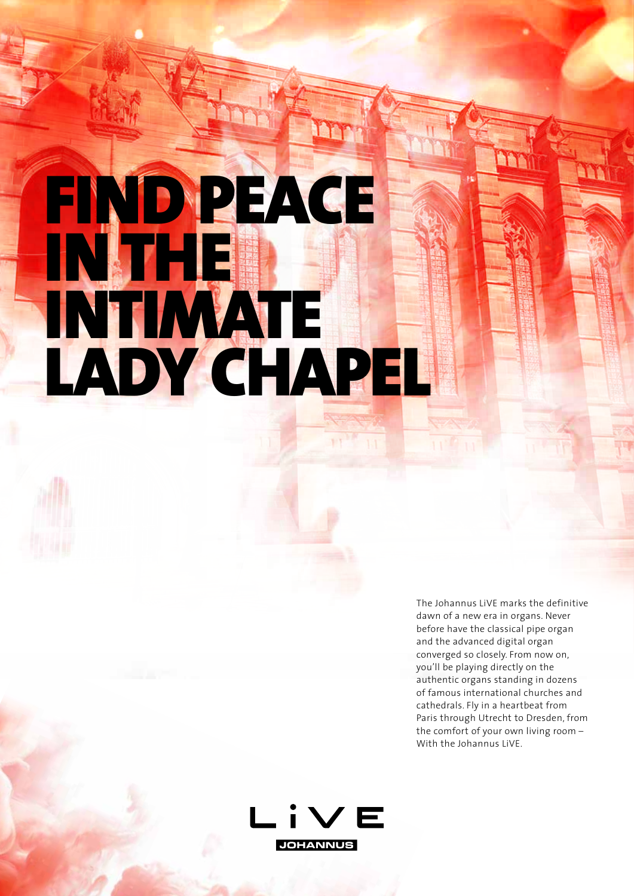## FIND PEACE IN THE INTIMATE LADY CHAPEL

The Johannus LiVE marks the definitive dawn of a new era in organs. Never before have the classical pipe organ and the advanced digital organ converged so closely. From now on, you'll be playing directly on the authentic organs standing in dozens of famous international churches and cathedrals. Fly in a heartbeat from Paris through Utrecht to Dresden, from the comfort of your own living room – With the Johannus LiVE.